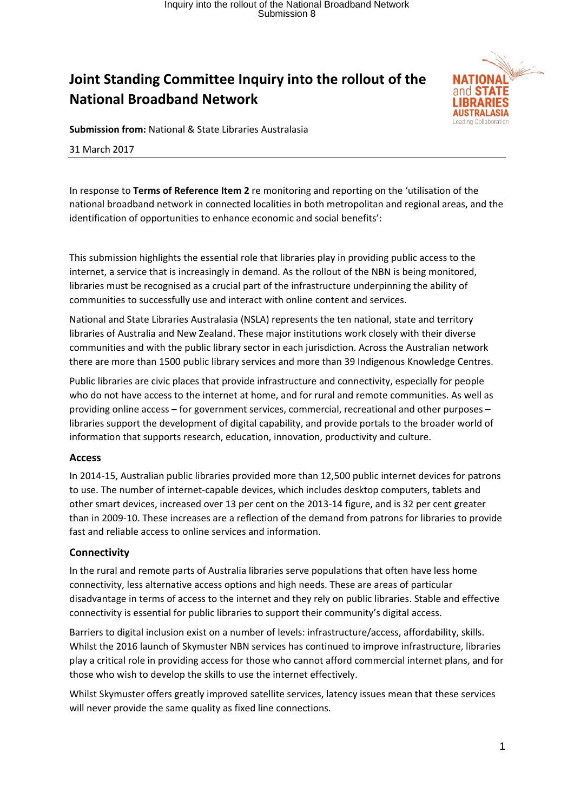## **Joint Standing Committee Inquiry into the rollout of the National Broadband Network**



**Submission from:** National & State Libraries Australasia

31 March 2017

In response to **Terms of Reference Item 2** re monitoring and reporting on the 'utilisation of the national broadband network in connected localities in both metropolitan and regional areas, and the identification of opportunities to enhance economic and social benefits':

This submission highlights the essential role that libraries play in providing public access to the internet, a service that is increasingly in demand. As the rollout of the NBN is being monitored, libraries must be recognised as a crucial part of the infrastructure underpinning the ability of communities to successfully use and interact with online content and services.

National and State Libraries Australasia (NSLA) represents the ten national, state and territory libraries of Australia and New Zealand. These major institutions work closely with their diverse communities and with the public library sector in each jurisdiction. Across the Australian network there are more than 1500 public library services and more than 39 Indigenous Knowledge Centres.

Public libraries are civic places that provide infrastructure and connectivity, especially for people who do not have access to the internet at home, and for rural and remote communities. As well as providing online access – for government services, commercial, recreational and other purposes – libraries support the development of digital capability, and provide portals to the broader world of information that supports research, education, innovation, productivity and culture.

### **Access**

In 2014‐15, Australian public libraries provided more than 12,500 public internet devices for patrons to use. The number of internet‐capable devices, which includes desktop computers, tablets and other smart devices, increased over 13 per cent on the 2013‐14 figure, and is 32 per cent greater than in 2009‐10. These increases are a reflection of the demand from patrons for libraries to provide fast and reliable access to online services and information.

### **Connectivity**

In the rural and remote parts of Australia libraries serve populations that often have less home connectivity, less alternative access options and high needs. These are areas of particular disadvantage in terms of access to the internet and they rely on public libraries. Stable and effective connectivity is essential for public libraries to support their community's digital access.

Barriers to digital inclusion exist on a number of levels: infrastructure/access, affordability, skills. Whilst the 2016 launch of Skymuster NBN services has continued to improve infrastructure, libraries play a critical role in providing access for those who cannot afford commercial internet plans, and for those who wish to develop the skills to use the internet effectively.

Whilst Skymuster offers greatly improved satellite services, latency issues mean that these services will never provide the same quality as fixed line connections.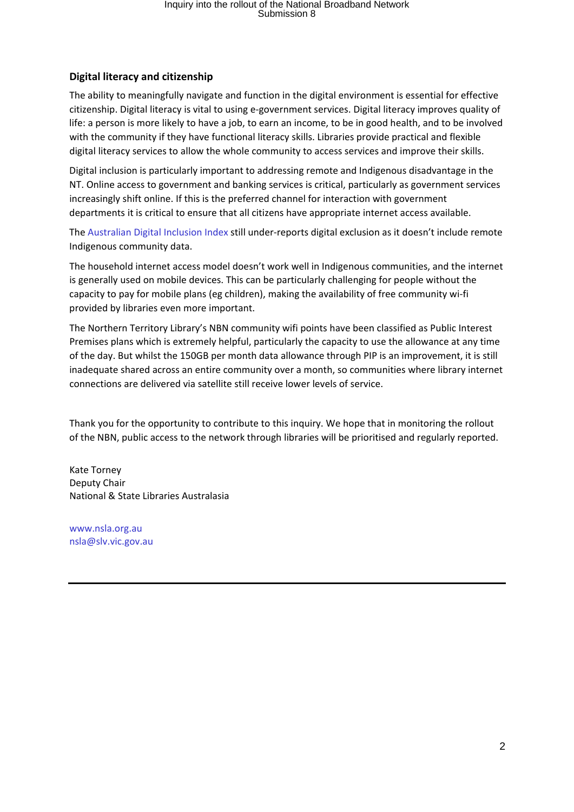# Inquiry into the rollout of the National Broadband Network Submission 8

### **Digital literacy and citizenship**

The ability to meaningfully navigate and function in the digital environment is essential for effective citizenship. Digital literacy is vital to using e‐government services. Digital literacy improves quality of life: a person is more likely to have a job, to earn an income, to be in good health, and to be involved with the community if they have functional literacy skills. Libraries provide practical and flexible digital literacy services to allow the whole community to access services and improve their skills.

Digital inclusion is particularly important to addressing remote and Indigenous disadvantage in the NT. Online access to government and banking services is critical, particularly as government services increasingly shift online. If this is the preferred channel for interaction with government departments it is critical to ensure that all citizens have appropriate internet access available.

The Australian Digital Inclusion Index still under‐reports digital exclusion as it doesn't include remote Indigenous community data.

The household internet access model doesn't work well in Indigenous communities, and the internet is generally used on mobile devices. This can be particularly challenging for people without the capacity to pay for mobile plans (eg children), making the availability of free community wi‐fi provided by libraries even more important.

The Northern Territory Library's NBN community wifi points have been classified as Public Interest Premises plans which is extremely helpful, particularly the capacity to use the allowance at any time of the day. But whilst the 150GB per month data allowance through PIP is an improvement, it is still inadequate shared across an entire community over a month, so communities where library internet connections are delivered via satellite still receive lower levels of service.

Thank you for the opportunity to contribute to this inquiry. We hope that in monitoring the rollout of the NBN, public access to the network through libraries will be prioritised and regularly reported.

Kate Torney Deputy Chair National & State Libraries Australasia

www.nsla.org.au nsla@slv.vic.gov.au